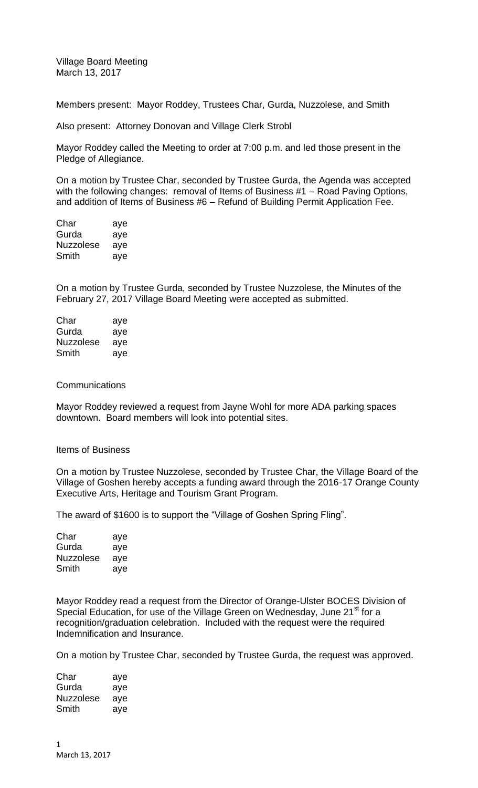Village Board Meeting March 13, 2017

Members present: Mayor Roddey, Trustees Char, Gurda, Nuzzolese, and Smith

Also present: Attorney Donovan and Village Clerk Strobl

Mayor Roddey called the Meeting to order at 7:00 p.m. and led those present in the Pledge of Allegiance.

On a motion by Trustee Char, seconded by Trustee Gurda, the Agenda was accepted with the following changes: removal of Items of Business #1 – Road Paving Options, and addition of Items of Business #6 – Refund of Building Permit Application Fee.

| Char             | aye |
|------------------|-----|
| Gurda            | aye |
| <b>Nuzzolese</b> | aye |
| Smith            | aye |

On a motion by Trustee Gurda, seconded by Trustee Nuzzolese, the Minutes of the February 27, 2017 Village Board Meeting were accepted as submitted.

| Char             | aye |
|------------------|-----|
| Gurda            | aye |
| <b>Nuzzolese</b> | aye |
| Smith            | aye |

### **Communications**

Mayor Roddey reviewed a request from Jayne Wohl for more ADA parking spaces downtown. Board members will look into potential sites.

#### Items of Business

On a motion by Trustee Nuzzolese, seconded by Trustee Char, the Village Board of the Village of Goshen hereby accepts a funding award through the 2016-17 Orange County Executive Arts, Heritage and Tourism Grant Program.

The award of \$1600 is to support the "Village of Goshen Spring Fling".

| Char             | aye |
|------------------|-----|
| Gurda            | aye |
| <b>Nuzzolese</b> | aye |
| Smith            | ave |

Mayor Roddey read a request from the Director of Orange-Ulster BOCES Division of Special Education, for use of the Village Green on Wednesday, June 21<sup>st</sup> for a recognition/graduation celebration. Included with the request were the required Indemnification and Insurance.

On a motion by Trustee Char, seconded by Trustee Gurda, the request was approved.

| Char             | aye |
|------------------|-----|
| Gurda            | aye |
| <b>Nuzzolese</b> | aye |
| Smith            | aye |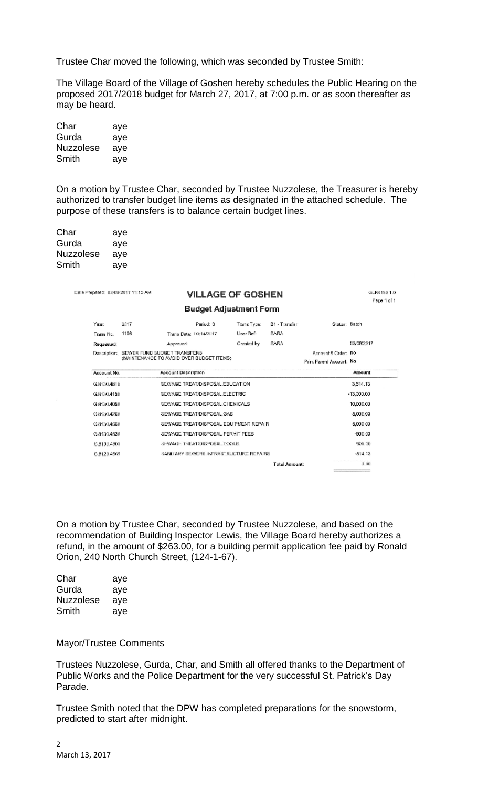Trustee Char moved the following, which was seconded by Trustee Smith:

The Village Board of the Village of Goshen hereby schedules the Public Hearing on the proposed 2017/2018 budget for March 27, 2017, at 7:00 p.m. or as soon thereafter as may be heard.

| Char             | aye |
|------------------|-----|
| Gurda            | aye |
| <b>Nuzzolese</b> | aye |
| Smith            | aye |

On a motion by Trustee Char, seconded by Trustee Nuzzolese, the Treasurer is hereby authorized to transfer budget line items as designated in the attached schedule. The purpose of these transfers is to balance certain budget lines.

| Char      | aye |
|-----------|-----|
| Gurda     | aye |
| Nuzzolese | aye |
| Smith     | aye |

Date Prepared: 03/09/2017 11:10 AM

# VILLAGE OF GOSHEN

# **Budget Adjustment Form**

GLR41501.0

Page 1 of 1

| Year:        | 2017 | Period: 3                                                                | Trans Type: | B1 - Transfer | Slatus: Batch                                     |            |
|--------------|------|--------------------------------------------------------------------------|-------------|---------------|---------------------------------------------------|------------|
| Trans No.    | 1196 | Trans Date: 1XV14/2017                                                   | User Ref:   | SARA          |                                                   |            |
| Requested:   |      | <b>Appraved:</b>                                                         | Created by: | <b>SARA</b>   |                                                   | 03/09/2017 |
| Dascription: |      | SEWER FUND BUDGET TRANSFERS<br>(MAINTENANCE TO AVOID OVER BUDGET ITEMS). |             |               | Account # Crder: No.<br>Print Parent Account: No. |            |
| Account No.  |      | <b>Account Description</b>                                               |             |               |                                                   | Amount     |
| G.8150.4810  |      | SEWAGE TREAT/DISPOSAL EDUCATION                                          |             |               |                                                   | 3.514.13   |
| G.8130.4150  |      | SEWAGE TREAT/DISPOSAL ELECTRIC                                           |             |               |                                                   | -13.303.00 |
| G 8130.4050  |      | SEWAGE TREAT/DISPOSAL CHEMICALS                                          |             |               |                                                   | 10,000.00  |
| G-8450.4260  |      | SEWAGE TREAT/DISPOSAL GAS                                                |             |               |                                                   | -5,000.00  |
| G.8130.4560  |      | SEWAGE TREAT/DISPOSAL EQUIPMENT REPAIR.                                  |             |               |                                                   | 5,000.00   |
| G 8133.4530  |      | SEWAGE TREAT/DISPOSAL PERMIT FEES                                        |             |               |                                                   | -900-00    |
| 15,8130,4800 |      | SEWAGE TREAT/DISPOSAL.TOOLS                                              |             |               |                                                   | 900.00     |
| 6.8120.4565  |      | SANITARY SEWERS INFRASTRUCTURE REPAIRS.                                  |             |               |                                                   | $-514.13$  |
|              |      |                                                                          |             | Total Amount: |                                                   | 0.100      |

On a motion by Trustee Char, seconded by Trustee Nuzzolese, and based on the recommendation of Building Inspector Lewis, the Village Board hereby authorizes a refund, in the amount of \$263.00, for a building permit application fee paid by Ronald Orion, 240 North Church Street, (124-1-67).

| Char             | aye |
|------------------|-----|
| Gurda            | aye |
| <b>Nuzzolese</b> | aye |
| Smith            | ave |

## Mayor/Trustee Comments

Trustees Nuzzolese, Gurda, Char, and Smith all offered thanks to the Department of Public Works and the Police Department for the very successful St. Patrick's Day Parade.

Trustee Smith noted that the DPW has completed preparations for the snowstorm, predicted to start after midnight.